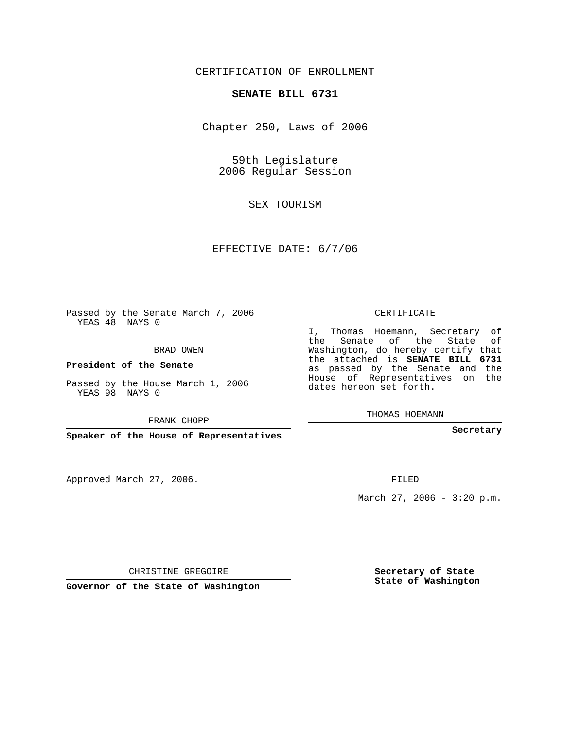## CERTIFICATION OF ENROLLMENT

#### **SENATE BILL 6731**

Chapter 250, Laws of 2006

59th Legislature 2006 Regular Session

SEX TOURISM

EFFECTIVE DATE: 6/7/06

Passed by the Senate March 7, 2006 YEAS 48 NAYS 0

BRAD OWEN

**President of the Senate**

Passed by the House March 1, 2006 YEAS 98 NAYS 0

FRANK CHOPP

**Speaker of the House of Representatives**

Approved March 27, 2006.

CERTIFICATE

I, Thomas Hoemann, Secretary of the Senate of the State of Washington, do hereby certify that the attached is **SENATE BILL 6731** as passed by the Senate and the House of Representatives on the dates hereon set forth.

THOMAS HOEMANN

**Secretary**

FILED

March 27, 2006 -  $3:20$  p.m.

CHRISTINE GREGOIRE

**Governor of the State of Washington**

**Secretary of State State of Washington**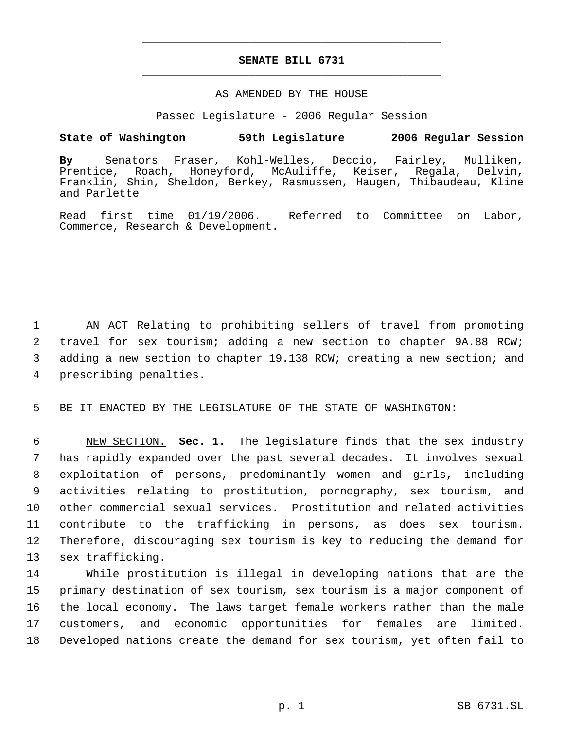# **SENATE BILL 6731** \_\_\_\_\_\_\_\_\_\_\_\_\_\_\_\_\_\_\_\_\_\_\_\_\_\_\_\_\_\_\_\_\_\_\_\_\_\_\_\_\_\_\_\_\_

\_\_\_\_\_\_\_\_\_\_\_\_\_\_\_\_\_\_\_\_\_\_\_\_\_\_\_\_\_\_\_\_\_\_\_\_\_\_\_\_\_\_\_\_\_

#### AS AMENDED BY THE HOUSE

Passed Legislature - 2006 Regular Session

### **State of Washington 59th Legislature 2006 Regular Session**

**By** Senators Fraser, Kohl-Welles, Deccio, Fairley, Mulliken, Prentice, Roach, Honeyford, McAuliffe, Keiser, Regala, Delvin, Franklin, Shin, Sheldon, Berkey, Rasmussen, Haugen, Thibaudeau, Kline and Parlette

Read first time 01/19/2006. Referred to Committee on Labor, Commerce, Research & Development.

 AN ACT Relating to prohibiting sellers of travel from promoting travel for sex tourism; adding a new section to chapter 9A.88 RCW; adding a new section to chapter 19.138 RCW; creating a new section; and prescribing penalties.

5 BE IT ENACTED BY THE LEGISLATURE OF THE STATE OF WASHINGTON:

 NEW SECTION. **Sec. 1.** The legislature finds that the sex industry has rapidly expanded over the past several decades. It involves sexual exploitation of persons, predominantly women and girls, including activities relating to prostitution, pornography, sex tourism, and other commercial sexual services. Prostitution and related activities contribute to the trafficking in persons, as does sex tourism. Therefore, discouraging sex tourism is key to reducing the demand for sex trafficking.

 While prostitution is illegal in developing nations that are the primary destination of sex tourism, sex tourism is a major component of the local economy. The laws target female workers rather than the male customers, and economic opportunities for females are limited. Developed nations create the demand for sex tourism, yet often fail to